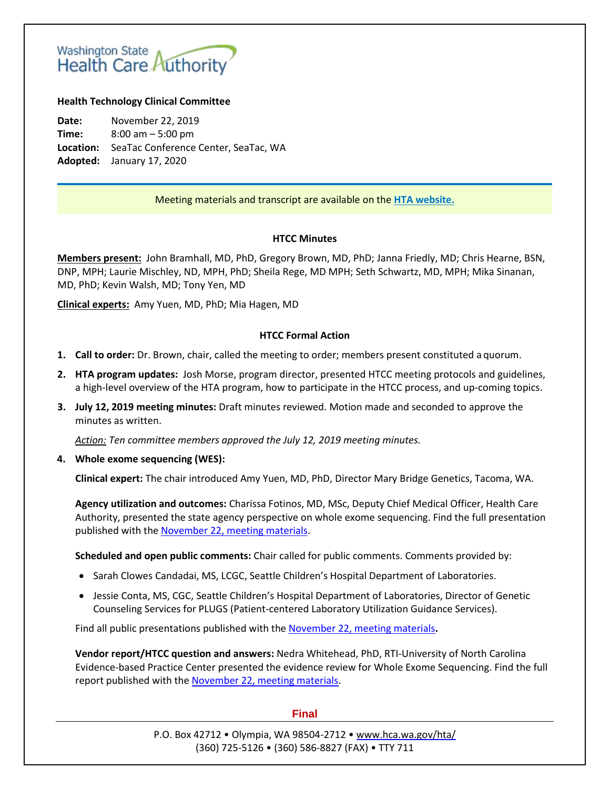# Washington State<br>Health Care Authority

#### **Health Technology Clinical Committee**

**Date:** November 22, 2019 **Time:** 8:00 am – 5:00 pm **Location:** SeaTac Conference Center, SeaTac, WA **Adopted:** January 17, 2020

## Meeting materials and transcript are available on the **[HTA website.](http://www.hca.wa.gov/about-hca/health-technology-assessment/meetings-and-materials)**

#### **HTCC Minutes**

**Members present:** John Bramhall, MD, PhD, Gregory Brown, MD, PhD; Janna Friedly, MD; Chris Hearne, BSN, DNP, MPH; Laurie Mischley, ND, MPH, PhD; Sheila Rege, MD MPH; Seth Schwartz, MD, MPH; Mika Sinanan, MD, PhD; Kevin Walsh, MD; Tony Yen, MD

**Clinical experts:** Amy Yuen, MD, PhD; Mia Hagen, MD

#### **HTCC Formal Action**

- **1. Call to order:** Dr. Brown, chair, called the meeting to order; members present constituted a quorum.
- **2. HTA program updates:** Josh Morse, program director, presented HTCC meeting protocols and guidelines, a high-level overview of the HTA program, how to participate in the HTCC process, and up-coming topics.
- **3. July 12, 2019 meeting minutes:** Draft minutes reviewed. Motion made and seconded to approve the minutes as written.

*Action: Ten committee members approved the July 12, 2019 meeting minutes.*

**4. Whole exome sequencing (WES):**

**Clinical expert:** The chair introduced Amy Yuen, MD, PhD, Director Mary Bridge Genetics, Tacoma, WA.

**Agency utilization and outcomes:** Charissa Fotinos, MD, MSc, Deputy Chief Medical Officer, Health Care Authority, presented the state agency perspective on whole exome sequencing. Find the full presentation published with the [November 22, meeting materials.](https://www.hca.wa.gov/about-hca/health-technology-assessment/meetings-and-materials)

**Scheduled and open public comments:** Chair called for public comments. Comments provided by:

- Sarah Clowes Candadai, MS, LCGC, Seattle Children's Hospital Department of Laboratories.
- Jessie Conta, MS, CGC, Seattle Children's Hospital Department of Laboratories, Director of Genetic Counseling Services for PLUGS (Patient-centered Laboratory Utilization Guidance Services).

Find all public presentations published with the [November 22, meeting materials](https://www.hca.wa.gov/about-hca/health-technology-assessment/meetings-and-materials)**.**

**Vendor report/HTCC question and answers:** Nedra Whitehead, PhD, RTI-University of North Carolina Evidence-based Practice Center presented the evidence review for Whole Exome Sequencing. Find the full report published with the [November 22, meeting materials.](https://www.hca.wa.gov/about-hca/health-technology-assessment/meetings-and-materials)

#### **Final**

P.O. Box 42712 • Olympia, WA 98504-2712 • [www.hca.wa.gov/hta/](http://www.hca.wa.gov/hta/) (360) 725-5126 • (360) 586-8827 (FAX) • TTY 711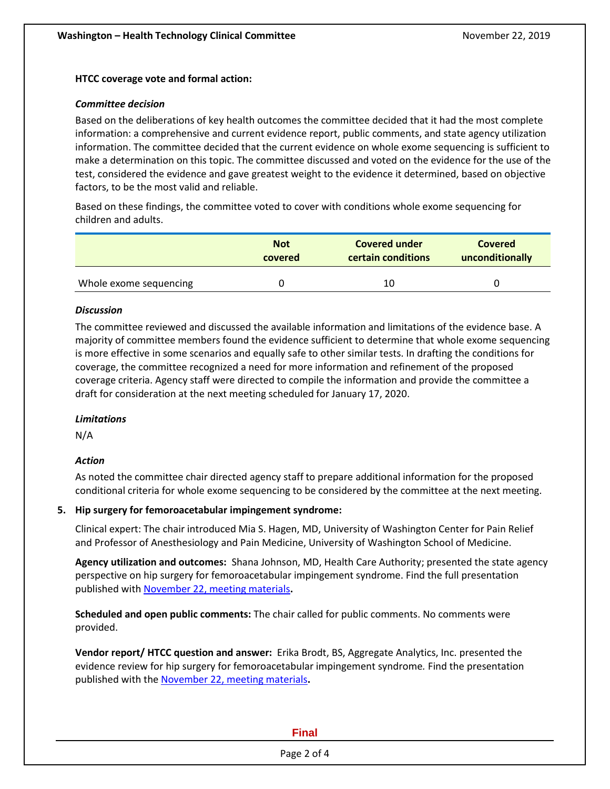#### **HTCC coverage vote and formal action:**

#### *Committee decision*

Based on the deliberations of key health outcomes the committee decided that it had the most complete information: a comprehensive and current evidence report, public comments, and state agency utilization information. The committee decided that the current evidence on whole exome sequencing is sufficient to make a determination on this topic. The committee discussed and voted on the evidence for the use of the test, considered the evidence and gave greatest weight to the evidence it determined, based on objective factors, to be the most valid and reliable.

Based on these findings, the committee voted to cover with conditions whole exome sequencing for children and adults.

|                        | <b>Not</b> | <b>Covered under</b> | <b>Covered</b>  |  |
|------------------------|------------|----------------------|-----------------|--|
|                        | covered    | certain conditions   | unconditionally |  |
| Whole exome sequencing |            | 10                   |                 |  |

## *Discussion*

The committee reviewed and discussed the available information and limitations of the evidence base. A majority of committee members found the evidence sufficient to determine that whole exome sequencing is more effective in some scenarios and equally safe to other similar tests. In drafting the conditions for coverage, the committee recognized a need for more information and refinement of the proposed coverage criteria. Agency staff were directed to compile the information and provide the committee a draft for consideration at the next meeting scheduled for January 17, 2020.

## *Limitations*

N/A

## *Action*

As noted the committee chair directed agency staff to prepare additional information for the proposed conditional criteria for whole exome sequencing to be considered by the committee at the next meeting.

## **5. Hip surgery for femoroacetabular impingement syndrome:**

Clinical expert: The chair introduced Mia S. Hagen, MD, University of Washington Center for Pain Relief and Professor of Anesthesiology and Pain Medicine, University of Washington School of Medicine.

**Agency utilization and outcomes:** Shana Johnson, MD, Health Care Authority; presented the state agency perspective on hip surgery for femoroacetabular impingement syndrome. Find the full presentation published with [November 22, meeting materials](https://www.hca.wa.gov/about-hca/health-technology-assessment/meetings-and-materials)**.**

**Scheduled and open public comments:** The chair called for public comments. No comments were provided.

**Vendor report/ HTCC question and answer:** Erika Brodt, BS, Aggregate Analytics, Inc. presented the evidence review for hip surgery for femoroacetabular impingement syndrome*.* Find the presentation published with the [November 22, meeting materials](https://www.hca.wa.gov/about-hca/health-technology-assessment/meetings-and-materials)**.**

## **Final**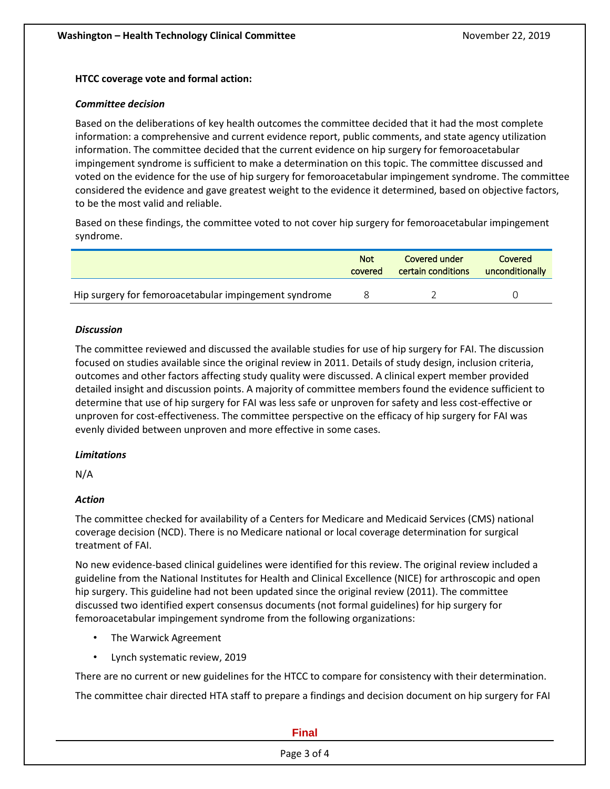#### **HTCC coverage vote and formal action:**

#### *Committee decision*

Based on the deliberations of key health outcomes the committee decided that it had the most complete information: a comprehensive and current evidence report, public comments, and state agency utilization information. The committee decided that the current evidence on hip surgery for femoroacetabular impingement syndrome is sufficient to make a determination on this topic. The committee discussed and voted on the evidence for the use of hip surgery for femoroacetabular impingement syndrome. The committee considered the evidence and gave greatest weight to the evidence it determined, based on objective factors, to be the most valid and reliable.

Based on these findings, the committee voted to not cover hip surgery for femoroacetabular impingement syndrome.

|                                                       | <b>Not</b> | Covered under      | Covered         |
|-------------------------------------------------------|------------|--------------------|-----------------|
|                                                       | covered    | certain conditions | unconditionally |
| Hip surgery for femoroacetabular impingement syndrome |            |                    |                 |

#### *Discussion*

The committee reviewed and discussed the available studies for use of hip surgery for FAI. The discussion focused on studies available since the original review in 2011. Details of study design, inclusion criteria, outcomes and other factors affecting study quality were discussed. A clinical expert member provided detailed insight and discussion points. A majority of committee members found the evidence sufficient to determine that use of hip surgery for FAI was less safe or unproven for safety and less cost-effective or unproven for cost-effectiveness. The committee perspective on the efficacy of hip surgery for FAI was evenly divided between unproven and more effective in some cases.

## *Limitations*

N/A

## *Action*

The committee checked for availability of a Centers for Medicare and Medicaid Services (CMS) national coverage decision (NCD). There is no Medicare national or local coverage determination for surgical treatment of FAI.

No new evidence-based clinical guidelines were identified for this review. The original review included a guideline from the National Institutes for Health and Clinical Excellence (NICE) for arthroscopic and open hip surgery. This guideline had not been updated since the original review (2011). The committee discussed two identified expert consensus documents (not formal guidelines) for hip surgery for femoroacetabular impingement syndrome from the following organizations:

- The Warwick Agreement
- Lynch systematic review, 2019

There are no current or new guidelines for the HTCC to compare for consistency with their determination.

The committee chair directed HTA staff to prepare a findings and decision document on hip surgery for FAI

#### **Final**

#### Page 3 of 4